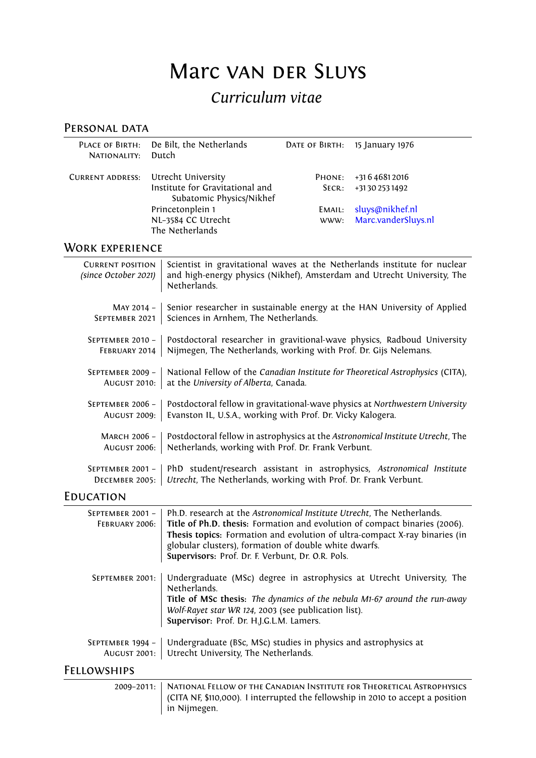# Marc van der Sluys

# *Curriculum vitae*

# PERSONAL DATA

| NATIONALITY: Dutch      | PLACE OF BIRTH: De Bilt, the Netherlands                    |        | DATE OF BIRTH: 15 January 1976 |
|-------------------------|-------------------------------------------------------------|--------|--------------------------------|
| <b>CURRENT ADDRESS:</b> | Utrecht University                                          | PHONE: | +31 6 4 6 8 1 2 0 1 6          |
|                         | Institute for Gravitational and<br>Subatomic Physics/Nikhef | SECR:  | +31 30 253 1492                |
|                         | Princetonplein 1                                            | EMAIL: | sluys@nikhef.nl                |
|                         | NL-3584 CC Utrecht<br>The Netherlands                       | WWW:   | Marc.vanderSluys.nl            |
|                         |                                                             |        |                                |

### Work experience

| <b>CURRENT POSITION</b><br>(since October 2021) | Scientist in gravitational waves at the Netherlands institute for nuclear<br>and high-energy physics (Nikhef), Amsterdam and Utrecht University, The<br>Netherlands.                                                                                                                                                                             |
|-------------------------------------------------|--------------------------------------------------------------------------------------------------------------------------------------------------------------------------------------------------------------------------------------------------------------------------------------------------------------------------------------------------|
| MAY 2014 -                                      | Senior researcher in sustainable energy at the HAN University of Applied                                                                                                                                                                                                                                                                         |
| SEPTEMBER 2021                                  | Sciences in Arnhem, The Netherlands.                                                                                                                                                                                                                                                                                                             |
| SEPTEMBER 2010 -                                | Postdoctoral researcher in gravitional-wave physics, Radboud University                                                                                                                                                                                                                                                                          |
| FEBRUARY 2014                                   | Nijmegen, The Netherlands, working with Prof. Dr. Gijs Nelemans.                                                                                                                                                                                                                                                                                 |
| SEPTEMBER 2009 -                                | National Fellow of the Canadian Institute for Theoretical Astrophysics (CITA),                                                                                                                                                                                                                                                                   |
| <b>AUGUST 2010:</b>                             | at the University of Alberta, Canada.                                                                                                                                                                                                                                                                                                            |
| SEPTEMBER 2006 -                                | Postdoctoral fellow in gravitational-wave physics at Northwestern University                                                                                                                                                                                                                                                                     |
| <b>AUGUST 2009:</b>                             | Evanston IL, U.S.A., working with Prof. Dr. Vicky Kalogera.                                                                                                                                                                                                                                                                                      |
| MARCH 2006 -                                    | Postdoctoral fellow in astrophysics at the Astronomical Institute Utrecht, The                                                                                                                                                                                                                                                                   |
| <b>AUGUST 2006:</b>                             | Netherlands, working with Prof. Dr. Frank Verbunt.                                                                                                                                                                                                                                                                                               |
| SEPTEMBER 2001 -                                | PhD student/research assistant in astrophysics, Astronomical Institute                                                                                                                                                                                                                                                                           |
| DECEMBER 2005:                                  | Utrecht, The Netherlands, working with Prof. Dr. Frank Verbunt.                                                                                                                                                                                                                                                                                  |
| EDUCATION                                       |                                                                                                                                                                                                                                                                                                                                                  |
| SEPTEMBER 2001 -<br>FEBRUARY 2006:              | Ph.D. research at the Astronomical Institute Utrecht, The Netherlands.<br>Title of Ph.D. thesis: Formation and evolution of compact binaries (2006).<br>Thesis topics: Formation and evolution of ultra-compact X-ray binaries (in<br>globular clusters), formation of double white dwarfs.<br>Supervisors: Prof. Dr. F. Verbunt, Dr. O.R. Pols. |
| SEPTEMBER 2001:                                 | Undergraduate (MSc) degree in astrophysics at Utrecht University, The<br>Netherlands.                                                                                                                                                                                                                                                            |

**Title of MSc thesis:** *The dynamics of the nebula M1-67 around the run-away Wolf-Rayet star WR 124*, 2003 (see publication list). **Supervisor:** Prof. Dr. H.J.G.L.M. Lamers.

September 1994 – Undergraduate (BSc, MSc) studies in physics and astrophysics at August 2001: Utrecht University, The Netherlands.

#### Fellowships

2009–2011: | NATIONAL FELLOW OF THE CANADIAN INSTITUTE FOR THEORETICAL ASTROPHYSICS (CITA NF, \$110,000). I interrupted the fellowship in 2010 to accept a position in Nijmegen.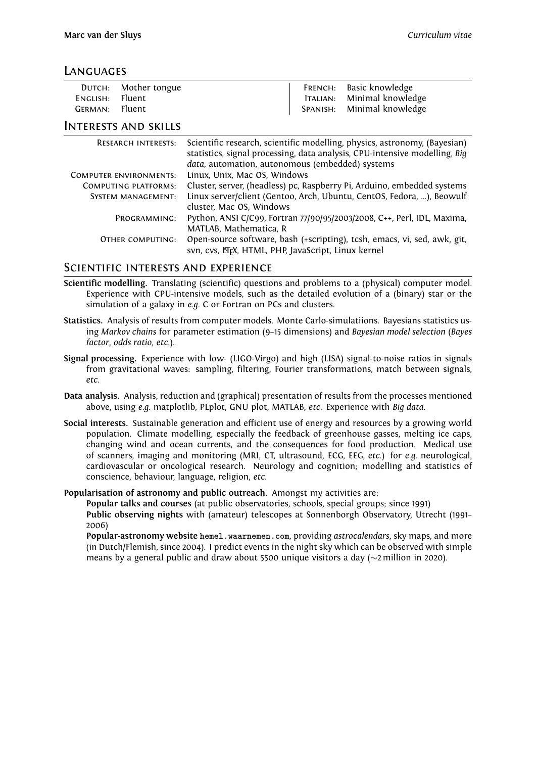#### **LANGUAGES**

|                 | DUTCH: Mother tongue | FRENCH: Basic knowledge    |
|-----------------|----------------------|----------------------------|
| ENGLISH: Fluent |                      | ITALIAN: Minimal knowledge |
| GERMAN: Fluent  |                      | SPANISH: Minimal knowledge |

#### Interests and skills

| <b>RESEARCH INTERESTS:</b>    | Scientific research, scientific modelling, physics, astronomy, (Bayesian)<br>statistics, signal processing, data analysis, CPU-intensive modelling, Big<br>data, automation, autonomous (embedded) systems |
|-------------------------------|------------------------------------------------------------------------------------------------------------------------------------------------------------------------------------------------------------|
| <b>COMPUTER ENVIRONMENTS:</b> | Linux, Unix, Mac OS, Windows                                                                                                                                                                               |
| COMPUTING PLATFORMS:          | Cluster, server, (headless) pc, Raspberry Pi, Arduino, embedded systems                                                                                                                                    |
| <b>SYSTEM MANAGEMENT:</b>     | Linux server/client (Gentoo, Arch, Ubuntu, CentOS, Fedora, ), Beowulf<br>cluster, Mac OS, Windows                                                                                                          |
| PROGRAMMING:                  | Python, ANSI C/C99, Fortran 77/90/95/2003/2008, C++, Perl, IDL, Maxima,<br>MATLAB, Mathematica, R                                                                                                          |
| OTHER COMPUTING:              | Open-source software, bash (+scripting), tcsh, emacs, vi, sed, awk, git,<br>svn, cvs, ETEX, HTML, PHP, JavaScript, Linux kernel                                                                            |

#### Scientific interests and experience

- **Scientific modelling.** Translating (scientific) questions and problems to a (physical) computer model. Experience with CPU-intensive models, such as the detailed evolution of a (binary) star or the simulation of a galaxy in *e.g.* C or Fortran on PCs and clusters.
- **Statistics.** Analysis of results from computer models. Monte Carlo-simulatiions. Bayesians statistics using *Markov chains* for parameter estimation (9–15 dimensions) and *Bayesian model selection* (*Bayes factor*, *odds ratio*, *etc*.).
- **Signal processing.** Experience with low- (LIGO-Virgo) and high (LISA) signal-to-noise ratios in signals from gravitational waves: sampling, filtering, Fourier transformations, match between signals, *etc.*
- **Data analysis.** Analysis, reduction and (graphical) presentation of results from the processes mentioned above, using *e.g.* matplotlib, PLplot, GNU plot, MATLAB, *etc*. Experience with *Big data*.
- **Social interests.** Sustainable generation and efficient use of energy and resources by a growing world population. Climate modelling, especially the feedback of greenhouse gasses, melting ice caps, changing wind and ocean currents, and the consequences for food production. Medical use of scanners, imaging and monitoring (MRI, CT, ultrasound, ECG, EEG, *etc*.) for *e.g.* neurological, cardiovascular or oncological research. Neurology and cognition; modelling and statistics of conscience, behaviour, language, religion, *etc*.

**Popularisation of astronomy and public outreach.** Amongst my activities are:

**Popular talks and courses** (at public observatories, schools, special groups; since 1991)

**Public observing nights** with (amateur) telescopes at Sonnenborgh Observatory, Utrecht (1991– 2006)

**Popular-astronomy website hemel.waarnemen.com**, providing *astrocalendars*, sky maps, and more (in Dutch/Flemish, since 2004). I predict events in the night sky which can be observed with simple means by a general public and draw about 5500 unique visitors a day (*∼*2 million in 2020).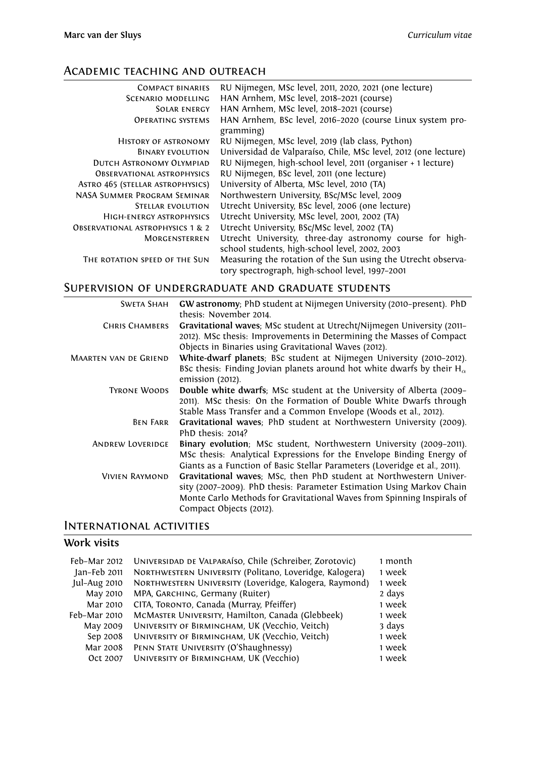# Academic teaching and outreach

| <b>COMPACT BINARIES</b>                     | RU Nijmegen, MSc level, 2011, 2020, 2021 (one lecture)                                                         |
|---------------------------------------------|----------------------------------------------------------------------------------------------------------------|
| SCENARIO MODELLING                          | HAN Arnhem, MSc level, 2018-2021 (course)                                                                      |
| SOLAR ENERGY                                | HAN Arnhem, MSc level, 2018-2021 (course)                                                                      |
| <b>OPERATING SYSTEMS</b>                    | HAN Arnhem, BSc level, 2016-2020 (course Linux system pro-<br>gramming)                                        |
| <b>HISTORY OF ASTRONOMY</b>                 | RU Nijmegen, MSc level, 2019 (lab class, Python)                                                               |
| <b>BINARY EVOLUTION</b>                     | Universidad de Valparaíso, Chile, MSc level, 2012 (one lecture)                                                |
| DUTCH ASTRONOMY OLYMPIAD                    | RU Nijmegen, high-school level, 2011 (organiser + 1 lecture)                                                   |
| <b>OBSERVATIONAL ASTROPHYSICS</b>           | RU Nijmegen, BSc level, 2011 (one lecture)                                                                     |
| ASTRO 465 (STELLAR ASTROPHYSICS)            | University of Alberta, MSc level, 2010 (TA)                                                                    |
| NASA SUMMER PROGRAM SEMINAR                 | Northwestern University, BSc/MSc level, 2009                                                                   |
| STELLAR EVOLUTION                           | Utrecht University, BSc level, 2006 (one lecture)                                                              |
| HIGH-ENERGY ASTROPHYSICS                    | Utrecht University, MSc level, 2001, 2002 (TA)                                                                 |
| <b>OBSERVATIONAL ASTROPHYSICS 1 &amp; 2</b> | Utrecht University, BSc/MSc level, 2002 (TA)                                                                   |
| MORGENSTERREN                               | Utrecht University, three-day astronomy course for high-                                                       |
| THE ROTATION SPEED OF THE SUN               | school students, high-school level, 2002, 2003<br>Measuring the rotation of the Sun using the Utrecht observa- |
|                                             | tory spectrograph, high-school level, 1997-2001                                                                |

# Supervision of undergraduate and graduate students

| <b>SWETA SHAH</b>            | GW astronomy; PhD student at Nijmegen University (2010-present). PhD<br>thesis: November 2014.       |
|------------------------------|------------------------------------------------------------------------------------------------------|
| <b>CHRIS CHAMBERS</b>        | Gravitational waves; MSc student at Utrecht/Nijmegen University (2011-                               |
|                              | 2012). MSc thesis: Improvements in Determining the Masses of Compact                                 |
|                              | Objects in Binaries using Gravitational Waves (2012).                                                |
| <b>MAARTEN VAN DE GRIEND</b> | White-dwarf planets; BSc student at Nijmegen University (2010-2012).                                 |
|                              | BSc thesis: Finding Jovian planets around hot white dwarfs by their $H_{\alpha}$<br>emission (2012). |
| <b>TYRONE WOODS</b>          | Double white dwarfs; MSc student at the University of Alberta (2009–                                 |
|                              | 2011). MSc thesis: On the Formation of Double White Dwarfs through                                   |
|                              | Stable Mass Transfer and a Common Envelope (Woods et al., 2012).                                     |
| <b>BEN FARR</b>              | Gravitational waves; PhD student at Northwestern University (2009).                                  |
|                              | PhD thesis: 2014?                                                                                    |
| <b>ANDREW LOVERIDGE</b>      | Binary evolution; MSc student, Northwestern University (2009-2011).                                  |
|                              | MSc thesis: Analytical Expressions for the Envelope Binding Energy of                                |
|                              | Giants as a Function of Basic Stellar Parameters (Loveridge et al., 2011).                           |
| VIVIEN RAYMOND               | Gravitational waves; MSc, then PhD student at Northwestern Univer-                                   |
|                              | sity (2007-2009). PhD thesis: Parameter Estimation Using Markov Chain                                |
|                              | Monte Carlo Methods for Gravitational Waves from Spinning Inspirals of                               |
|                              | Compact Objects (2012).                                                                              |

## International activities

# **Work visits**

| Feb-Mar 2012 | UNIVERSIDAD DE VALPARAÍSO, Chile (Schreiber, Zorotovic) | 1 month |
|--------------|---------------------------------------------------------|---------|
| Jan-Feb 2011 | NORTHWESTERN UNIVERSITY (Politano, Loveridge, Kalogera) | 1 week  |
| Jul-Aug 2010 | NORTHWESTERN UNIVERSITY (Loveridge, Kalogera, Raymond)  | 1 week  |
| May 2010     | MPA, GARCHING, Germany (Ruiter)                         | 2 days  |
| Mar 2010     | CITA, TORONTO, Canada (Murray, Pfeiffer)                | 1 week  |
| Feb-Mar 2010 | MCMASTER UNIVERSITY, Hamilton, Canada (Glebbeek)        | 1 week  |
| May 2009     | UNIVERSITY OF BIRMINGHAM, UK (Vecchio, Veitch)          | 3 days  |
| Sep 2008     | UNIVERSITY OF BIRMINGHAM, UK (Vecchio, Veitch)          | 1 week  |
| Mar 2008     | PENN STATE UNIVERSITY (O'Shaughnessy)                   | 1 week  |
| Oct 2007     | UNIVERSITY OF BIRMINGHAM, UK (Vecchio)                  | 1 week  |
|              |                                                         |         |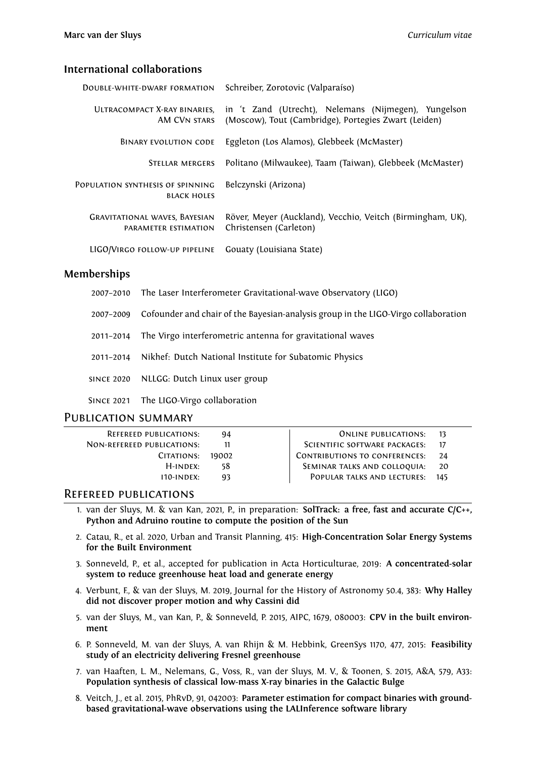#### **International collaborations**

| DOUBLE-WHITE-DWARF FORMATION                                 | Schreiber, Zorotovic (Valparaíso)                                                                            |  |  |
|--------------------------------------------------------------|--------------------------------------------------------------------------------------------------------------|--|--|
| ULTRACOMPACT X-RAY BINARIES.<br>AM CVN STARS                 | in 't Zand (Utrecht), Nelemans (Nijmegen), Yungelson<br>(Moscow), Tout (Cambridge), Portegies Zwart (Leiden) |  |  |
| <b>BINARY EVOLUTION CODE</b>                                 | Eggleton (Los Alamos), Glebbeek (McMaster)                                                                   |  |  |
| <b>STELLAR MERGERS</b>                                       | Politano (Milwaukee), Taam (Taiwan), Glebbeek (McMaster)                                                     |  |  |
| POPULATION SYNTHESIS OF SPINNING<br><b>BLACK HOLES</b>       | Belczynski (Arizona)                                                                                         |  |  |
| <b>GRAVITATIONAL WAVES, BAYESIAN</b><br>PARAMETER ESTIMATION | Röver, Meyer (Auckland), Vecchio, Veitch (Birmingham, UK),<br>Christensen (Carleton)                         |  |  |
| LIGO/VIRGO FOLLOW-UP PIPELINE                                | Gouaty (Louisiana State)                                                                                     |  |  |

#### **Memberships**

- 2007–2010 The Laser Interferometer Gravitational-wave Observatory (LIGO)
- 2007–2009 Cofounder and chair of the Bayesian-analysis group in the LIGO-Virgo collaboration
- 2011–2014 The Virgo interferometric antenna for gravitational waves
- 2011–2014 Nikhef: Dutch National Institute for Subatomic Physics
- since 2020 NLLGG: Dutch Linux user group
- Since 2021 The LIGO-Virgo collaboration

#### PUBLICATION SUMMARY

| <b>REFEREED PUBLICATIONS:</b>     | 94    | ONLINE PUBLICATIONS:                 | - 13 |
|-----------------------------------|-------|--------------------------------------|------|
| <b>NON-REFEREED PUBLICATIONS:</b> |       | SCIENTIFIC SOFTWARE PACKAGES:        |      |
| CITATIONS:                        | 19002 | <b>CONTRIBUTIONS TO CONFERENCES:</b> | 24   |
| $H$ -INDEX:                       | 58    | SEMINAR TALKS AND COLLOQUIA:         | 20   |
| $110$ -INDEX:                     | 93    | POPULAR TALKS AND LECTURES:          | 145  |
|                                   |       |                                      |      |

#### Refereed publications

- 1. van der Sluys, M. & van Kan, 2021, P., in preparation: **SolTrack: a free, fast and accurate C/C++, Python and Adruino routine to compute the position of the Sun**
- 2. Catau, R., et al. 2020, Urban and Transit Planning, 415: **High-Concentration Solar Energy Systems for the Built Environment**
- 3. Sonneveld, P., et al., accepted for publication in Acta Horticulturae, 2019: **A concentrated-solar system to reduce greenhouse heat load and generate energy**
- 4. Verbunt, F., & van der Sluys, M. 2019, Journal for the History of Astronomy 50.4, 383: **Why Halley did not discover proper motion and why Cassini did**
- 5. van der Sluys, M., van Kan, P., & Sonneveld, P. 2015, AIPC, 1679, 080003: **CPV in the built environment**
- 6. P. Sonneveld, M. van der Sluys, A. van Rhijn & M. Hebbink, GreenSys 1170, 477, 2015: **Feasibility study of an electricity delivering Fresnel greenhouse**
- 7. van Haaften, L. M., Nelemans, G., Voss, R., van der Sluys, M. V., & Toonen, S. 2015, A&A, 579, A33: **Population synthesis of classical low-mass X-ray binaries in the Galactic Bulge**
- 8. Veitch, J., et al. 2015, PhRvD, 91, 042003: **Parameter estimation for compact binaries with groundbased gravitational-wave observations using the LALInference software library**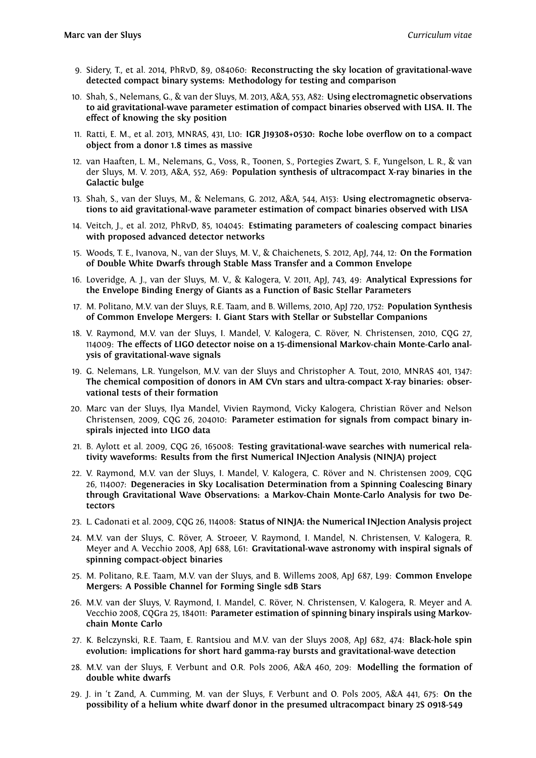- 9. Sidery, T., et al. 2014, PhRvD, 89, 084060: **Reconstructing the sky location of gravitational-wave detected compact binary systems: Methodology for testing and comparison**
- 10. Shah, S., Nelemans, G., & van der Sluys, M. 2013, A&A, 553, A82: **Using electromagnetic observations to aid gravitational-wave parameter estimation of compact binaries observed with LISA. II. The effect of knowing the sky position**
- 11. Ratti, E. M., et al. 2013, MNRAS, 431, L10: **IGR J19308+0530: Roche lobe overflow on to a compact object from a donor 1.8 times as massive**
- 12. van Haaften, L. M., Nelemans, G., Voss, R., Toonen, S., Portegies Zwart, S. F., Yungelson, L. R., & van der Sluys, M. V. 2013, A&A, 552, A69: **Population synthesis of ultracompact X-ray binaries in the Galactic bulge**
- 13. Shah, S., van der Sluys, M., & Nelemans, G. 2012, A&A, 544, A153: **Using electromagnetic observations to aid gravitational-wave parameter estimation of compact binaries observed with LISA**
- 14. Veitch, J., et al. 2012, PhRvD, 85, 104045: **Estimating parameters of coalescing compact binaries with proposed advanced detector networks**
- 15. Woods, T. E., Ivanova, N., van der Sluys, M. V., & Chaichenets, S. 2012, ApJ, 744, 12: **On the Formation of Double White Dwarfs through Stable Mass Transfer and a Common Envelope**
- 16. Loveridge, A. J., van der Sluys, M. V., & Kalogera, V. 2011, ApJ, 743, 49: **Analytical Expressions for the Envelope Binding Energy of Giants as a Function of Basic Stellar Parameters**
- 17. M. Politano, M.V. van der Sluys, R.E. Taam, and B. Willems, 2010, ApJ 720, 1752: **Population Synthesis of Common Envelope Mergers: I. Giant Stars with Stellar or Substellar Companions**
- 18. V. Raymond, M.V. van der Sluys, I. Mandel, V. Kalogera, C. Röver, N. Christensen, 2010, CQG 27, 114009: **The effects of LIGO detector noise on a 15-dimensional Markov-chain Monte-Carlo analysis of gravitational-wave signals**
- 19. G. Nelemans, L.R. Yungelson, M.V. van der Sluys and Christopher A. Tout, 2010, MNRAS 401, 1347: **The chemical composition of donors in AM CVn stars and ultra-compact X-ray binaries: observational tests of their formation**
- 20. Marc van der Sluys, Ilya Mandel, Vivien Raymond, Vicky Kalogera, Christian Röver and Nelson Christensen, 2009, CQG 26, 204010: **Parameter estimation for signals from compact binary inspirals injected into LIGO data**
- 21. B. Aylott et al. 2009, CQG 26, 165008: **Testing gravitational-wave searches with numerical relativity waveforms: Results from the first Numerical INJection Analysis (NINJA) project**
- 22. V. Raymond, M.V. van der Sluys, I. Mandel, V. Kalogera, C. Röver and N. Christensen 2009, CQG 26, 114007: **Degeneracies in Sky Localisation Determination from a Spinning Coalescing Binary through Gravitational Wave Observations: a Markov-Chain Monte-Carlo Analysis for two Detectors**
- 23. L. Cadonati et al. 2009, CQG 26, 114008: **Status of NINJA: the Numerical INJection Analysis project**
- 24. M.V. van der Sluys, C. Röver, A. Stroeer, V. Raymond, I. Mandel, N. Christensen, V. Kalogera, R. Meyer and A. Vecchio 2008, ApJ 688, L61: **Gravitational-wave astronomy with inspiral signals of spinning compact-object binaries**
- 25. M. Politano, R.E. Taam, M.V. van der Sluys, and B. Willems 2008, ApJ 687, L99: **Common Envelope Mergers: A Possible Channel for Forming Single sdB Stars**
- 26. M.V. van der Sluys, V. Raymond, I. Mandel, C. Röver, N. Christensen, V. Kalogera, R. Meyer and A. Vecchio 2008, CQGra 25, 184011: **Parameter estimation of spinning binary inspirals using Markovchain Monte Carlo**
- 27. K. Belczynski, R.E. Taam, E. Rantsiou and M.V. van der Sluys 2008, ApJ 682, 474: **Black-hole spin evolution: implications for short hard gamma-ray bursts and gravitational-wave detection**
- 28. M.V. van der Sluys, F. Verbunt and O.R. Pols 2006, A&A 460, 209: **Modelling the formation of double white dwarfs**
- 29. J. in 't Zand, A. Cumming, M. van der Sluys, F. Verbunt and O. Pols 2005, A&A 441, 675: **On the possibility of a helium white dwarf donor in the presumed ultracompact binary 2S 0918-549**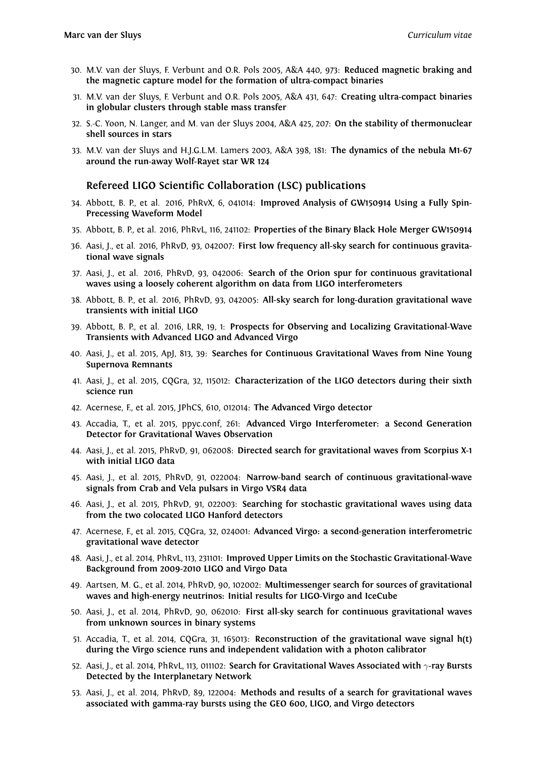- 30. M.V. van der Sluys, F. Verbunt and O.R. Pols 2005, A&A 440, 973: **Reduced magnetic braking and the magnetic capture model for the formation of ultra-compact binaries**
- 31. M.V. van der Sluys, F. Verbunt and O.R. Pols 2005, A&A 431, 647: **Creating ultra-compact binaries in globular clusters through stable mass transfer**
- 32. S.-C. Yoon, N. Langer, and M. van der Sluys 2004, A&A 425, 207: **On the stability of thermonuclear shell sources in stars**
- 33. M.V. van der Sluys and H.J.G.L.M. Lamers 2003, A&A 398, 181: **The dynamics of the nebula M1-67 around the run-away Wolf-Rayet star WR 124**

#### **Refereed LIGO Scientific Collaboration (LSC) publications**

- 34. Abbott, B. P., et al. 2016, PhRvX, 6, 041014: **Improved Analysis of GW150914 Using a Fully Spin-Precessing Waveform Model**
- 35. Abbott, B. P., et al. 2016, PhRvL, 116, 241102: **Properties of the Binary Black Hole Merger GW150914**
- 36. Aasi, J., et al. 2016, PhRvD, 93, 042007: **First low frequency all-sky search for continuous gravitational wave signals**
- 37. Aasi, J., et al. 2016, PhRvD, 93, 042006: **Search of the Orion spur for continuous gravitational waves using a loosely coherent algorithm on data from LIGO interferometers**
- 38. Abbott, B. P., et al. 2016, PhRvD, 93, 042005: **All-sky search for long-duration gravitational wave transients with initial LIGO**
- 39. Abbott, B. P., et al. 2016, LRR, 19, 1: **Prospects for Observing and Localizing Gravitational-Wave Transients with Advanced LIGO and Advanced Virgo**
- 40. Aasi, J., et al. 2015, ApJ, 813, 39: **Searches for Continuous Gravitational Waves from Nine Young Supernova Remnants**
- 41. Aasi, J., et al. 2015, CQGra, 32, 115012: **Characterization of the LIGO detectors during their sixth science run**
- 42. Acernese, F., et al. 2015, JPhCS, 610, 012014: **The Advanced Virgo detector**
- 43. Accadia, T., et al. 2015, ppyc.conf, 261: **Advanced Virgo Interferometer: a Second Generation Detector for Gravitational Waves Observation**
- 44. Aasi, J., et al. 2015, PhRvD, 91, 062008: **Directed search for gravitational waves from Scorpius X-1 with initial LIGO data**
- 45. Aasi, J., et al. 2015, PhRvD, 91, 022004: **Narrow-band search of continuous gravitational-wave signals from Crab and Vela pulsars in Virgo VSR4 data**
- 46. Aasi, J., et al. 2015, PhRvD, 91, 022003: **Searching for stochastic gravitational waves using data from the two colocated LIGO Hanford detectors**
- 47. Acernese, F., et al. 2015, CQGra, 32, 024001: **Advanced Virgo: a second-generation interferometric gravitational wave detector**
- 48. Aasi, J., et al. 2014, PhRvL, 113, 231101: **Improved Upper Limits on the Stochastic Gravitational-Wave Background from 2009-2010 LIGO and Virgo Data**
- 49. Aartsen, M. G., et al. 2014, PhRvD, 90, 102002: **Multimessenger search for sources of gravitational waves and high-energy neutrinos: Initial results for LIGO-Virgo and IceCube**
- 50. Aasi, J., et al. 2014, PhRvD, 90, 062010: **First all-sky search for continuous gravitational waves from unknown sources in binary systems**
- 51. Accadia, T., et al. 2014, CQGra, 31, 165013: **Reconstruction of the gravitational wave signal h(t) during the Virgo science runs and independent validation with a photon calibrator**
- 52. Aasi, J., et al. 2014, PhRvL, 113, 011102: **Search for Gravitational Waves Associated with** *γ***-ray Bursts Detected by the Interplanetary Network**
- 53. Aasi, J., et al. 2014, PhRvD, 89, 122004: **Methods and results of a search for gravitational waves associated with gamma-ray bursts using the GEO 600, LIGO, and Virgo detectors**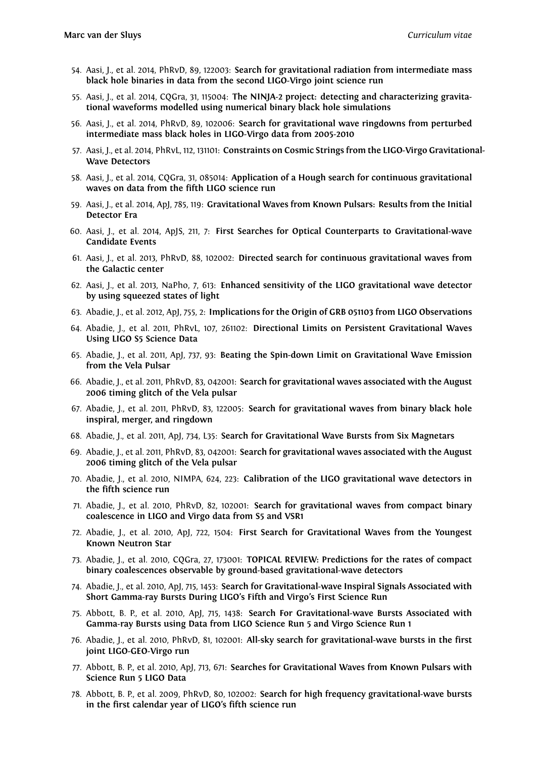- 54. Aasi, J., et al. 2014, PhRvD, 89, 122003: **Search for gravitational radiation from intermediate mass black hole binaries in data from the second LIGO-Virgo joint science run**
- 55. Aasi, J., et al. 2014, CQGra, 31, 115004: **The NINJA-2 project: detecting and characterizing gravitational waveforms modelled using numerical binary black hole simulations**
- 56. Aasi, J., et al. 2014, PhRvD, 89, 102006: **Search for gravitational wave ringdowns from perturbed intermediate mass black holes in LIGO-Virgo data from 2005-2010**
- 57. Aasi, J., et al. 2014, PhRvL, 112, 131101: **Constraints on Cosmic Strings from the LIGO-Virgo Gravitational-Wave Detectors**
- 58. Aasi, J., et al. 2014, CQGra, 31, 085014: **Application of a Hough search for continuous gravitational waves on data from the fifth LIGO science run**
- 59. Aasi, J., et al. 2014, ApJ, 785, 119: **Gravitational Waves from Known Pulsars: Results from the Initial Detector Era**
- 60. Aasi, J., et al. 2014, ApJS, 211, 7: **First Searches for Optical Counterparts to Gravitational-wave Candidate Events**
- 61. Aasi, J., et al. 2013, PhRvD, 88, 102002: **Directed search for continuous gravitational waves from the Galactic center**
- 62. Aasi, J., et al. 2013, NaPho, 7, 613: **Enhanced sensitivity of the LIGO gravitational wave detector by using squeezed states of light**
- 63. Abadie, J., et al. 2012, ApJ, 755, 2: **Implications for the Origin of GRB 051103 from LIGO Observations**
- 64. Abadie, J., et al. 2011, PhRvL, 107, 261102: **Directional Limits on Persistent Gravitational Waves Using LIGO S5 Science Data**
- 65. Abadie, J., et al. 2011, ApJ, 737, 93: **Beating the Spin-down Limit on Gravitational Wave Emission from the Vela Pulsar**
- 66. Abadie, J., et al. 2011, PhRvD, 83, 042001: **Search for gravitational waves associated with the August 2006 timing glitch of the Vela pulsar**
- 67. Abadie, J., et al. 2011, PhRvD, 83, 122005: **Search for gravitational waves from binary black hole inspiral, merger, and ringdown**
- 68. Abadie, J., et al. 2011, ApJ, 734, L35: **Search for Gravitational Wave Bursts from Six Magnetars**
- 69. Abadie, J., et al. 2011, PhRvD, 83, 042001: **Search for gravitational waves associated with the August 2006 timing glitch of the Vela pulsar**
- 70. Abadie, J., et al. 2010, NIMPA, 624, 223: **Calibration of the LIGO gravitational wave detectors in the fifth science run**
- 71. Abadie, J., et al. 2010, PhRvD, 82, 102001: **Search for gravitational waves from compact binary coalescence in LIGO and Virgo data from S5 and VSR1**
- 72. Abadie, J., et al. 2010, ApJ, 722, 1504: **First Search for Gravitational Waves from the Youngest Known Neutron Star**
- 73. Abadie, J., et al. 2010, CQGra, 27, 173001: **TOPICAL REVIEW: Predictions for the rates of compact binary coalescences observable by ground-based gravitational-wave detectors**
- 74. Abadie, J., et al. 2010, ApJ, 715, 1453: **Search for Gravitational-wave Inspiral Signals Associated with Short Gamma-ray Bursts During LIGO's Fifth and Virgo's First Science Run**
- 75. Abbott, B. P., et al. 2010, ApJ, 715, 1438: **Search For Gravitational-wave Bursts Associated with Gamma-ray Bursts using Data from LIGO Science Run 5 and Virgo Science Run 1**
- 76. Abadie, J., et al. 2010, PhRvD, 81, 102001: **All-sky search for gravitational-wave bursts in the first joint LIGO-GEO-Virgo run**
- 77. Abbott, B. P., et al. 2010, ApJ, 713, 671: **Searches for Gravitational Waves from Known Pulsars with Science Run 5 LIGO Data**
- 78. Abbott, B. P., et al. 2009, PhRvD, 80, 102002: **Search for high frequency gravitational-wave bursts in the first calendar year of LIGO's fifth science run**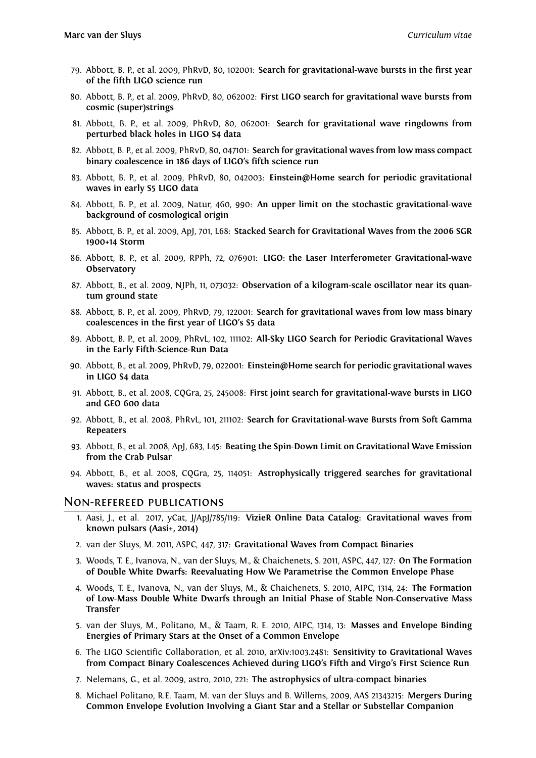- 79. Abbott, B. P., et al. 2009, PhRvD, 80, 102001: **Search for gravitational-wave bursts in the first year of the fifth LIGO science run**
- 80. Abbott, B. P., et al. 2009, PhRvD, 80, 062002: **First LIGO search for gravitational wave bursts from cosmic (super)strings**
- 81. Abbott, B. P., et al. 2009, PhRvD, 80, 062001: **Search for gravitational wave ringdowns from perturbed black holes in LIGO S4 data**
- 82. Abbott, B. P., et al. 2009, PhRvD, 80, 047101: **Search for gravitational waves from low mass compact binary coalescence in 186 days of LIGO's fifth science run**
- 83. Abbott, B. P., et al. 2009, PhRvD, 80, 042003: **Einstein@Home search for periodic gravitational waves in early S5 LIGO data**
- 84. Abbott, B. P., et al. 2009, Natur, 460, 990: **An upper limit on the stochastic gravitational-wave background of cosmological origin**
- 85. Abbott, B. P., et al. 2009, ApJ, 701, L68: **Stacked Search for Gravitational Waves from the 2006 SGR 1900+14 Storm**
- 86. Abbott, B. P., et al. 2009, RPPh, 72, 076901: **LIGO: the Laser Interferometer Gravitational-wave Observatory**
- 87. Abbott, B., et al. 2009, NJPh, 11, 073032: **Observation of a kilogram-scale oscillator near its quantum ground state**
- 88. Abbott, B. P., et al. 2009, PhRvD, 79, 122001: **Search for gravitational waves from low mass binary coalescences in the first year of LIGO's S5 data**
- 89. Abbott, B. P., et al. 2009, PhRvL, 102, 111102: **All-Sky LIGO Search for Periodic Gravitational Waves in the Early Fifth-Science-Run Data**
- 90. Abbott, B., et al. 2009, PhRvD, 79, 022001: **Einstein@Home search for periodic gravitational waves in LIGO S4 data**
- 91. Abbott, B., et al. 2008, CQGra, 25, 245008: **First joint search for gravitational-wave bursts in LIGO and GEO 600 data**
- 92. Abbott, B., et al. 2008, PhRvL, 101, 211102: **Search for Gravitational-wave Bursts from Soft Gamma Repeaters**
- 93. Abbott, B., et al. 2008, ApJ, 683, L45: **Beating the Spin-Down Limit on Gravitational Wave Emission from the Crab Pulsar**
- 94. Abbott, B., et al. 2008, CQGra, 25, 114051: **Astrophysically triggered searches for gravitational waves: status and prospects**

#### Non-refereed publications

- 1. Aasi, J., et al. 2017, yCat, J/ApJ/785/119: **VizieR Online Data Catalog: Gravitational waves from known pulsars (Aasi+, 2014)**
- 2. van der Sluys, M. 2011, ASPC, 447, 317: **Gravitational Waves from Compact Binaries**
- 3. Woods, T. E., Ivanova, N., van der Sluys, M., & Chaichenets, S. 2011, ASPC, 447, 127: **On The Formation of Double White Dwarfs: Reevaluating How We Parametrise the Common Envelope Phase**
- 4. Woods, T. E., Ivanova, N., van der Sluys, M., & Chaichenets, S. 2010, AIPC, 1314, 24: **The Formation of Low-Mass Double White Dwarfs through an Initial Phase of Stable Non-Conservative Mass Transfer**
- 5. van der Sluys, M., Politano, M., & Taam, R. E. 2010, AIPC, 1314, 13: **Masses and Envelope Binding Energies of Primary Stars at the Onset of a Common Envelope**
- 6. The LIGO Scientific Collaboration, et al. 2010, arXiv:1003.2481: **Sensitivity to Gravitational Waves from Compact Binary Coalescences Achieved during LIGO's Fifth and Virgo's First Science Run**
- 7. Nelemans, G., et al. 2009, astro, 2010, 221: **The astrophysics of ultra-compact binaries**
- 8. Michael Politano, R.E. Taam, M. van der Sluys and B. Willems, 2009, AAS 21343215: **Mergers During Common Envelope Evolution Involving a Giant Star and a Stellar or Substellar Companion**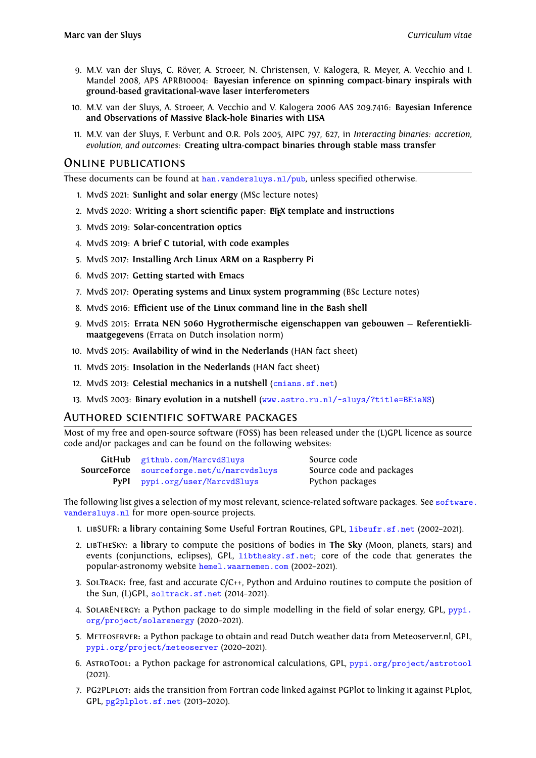- 9. M.V. van der Sluys, C. Röver, A. Stroeer, N. Christensen, V. Kalogera, R. Meyer, A. Vecchio and I. Mandel 2008, APS APRB10004: **Bayesian inference on spinning compact-binary inspirals with ground-based gravitational-wave laser interferometers**
- 10. M.V. van der Sluys, A. Stroeer, A. Vecchio and V. Kalogera 2006 AAS 209.7416: **Bayesian Inference and Observations of Massive Black-hole Binaries with LISA**
- 11. M.V. van der Sluys, F. Verbunt and O.R. Pols 2005, AIPC 797, 627, in *Interacting binaries: accretion, evolution, and outcomes:* **Creating ultra-compact binaries through stable mass transfer**

#### Online publications

These documents can be found at  $han.vandersluys.nl/pub$ , unless specified otherwise.

- 1. MvdS 2021: **Sunlight and solar energy** (MSc lecture notes)
- 2. MvdS 2020: **Writing a short scientific paper: LATEX template and instructions**
- 3. MvdS 2019: **Solar-concentrat[ion optics](http://han.vandersluys.nl/pub)**
- 4. MvdS 2019: **A brief C tutorial, with code examples**
- 5. MvdS 2017: **Installing Arch Linux ARM on a Raspberry Pi**
- 6. MvdS 2017: **Getting started with Emacs**
- 7. MvdS 2017: **Operating systems and Linux system programming** (BSc Lecture notes)
- 8. MvdS 2016: **Efficient use of the Linux command line in the Bash shell**
- 9. MvdS 2015: **Errata NEN 5060 Hygrothermische eigenschappen van gebouwen Referentieklimaatgegevens** (Errata on Dutch insolation norm)
- 10. MvdS 2015: **Availability of wind in the Nederlands** (HAN fact sheet)
- 11. MvdS 2015: **Insolation in the Nederlands** (HAN fact sheet)
- 12. MvdS 2013: **Celestial mechanics in a nutshell** (cmians.sf.net)
- 13. MvdS 2003: **Binary evolution in a nutshell** (www.astro.ru.nl/~sluys/?title=BEiaNS)

#### Authored scientific software packages

Most of my free and open-source software (FOSS) h[as been released](http://cmians.sf.net) under the (L)GPL licence as source code and/or packages and can be found on thefo[llowing websites:](http://www.astro.ru.nl/~sluys/?title=BEiaNS)

| <b>GitHub</b> github.com/MarcvdSluys             | Source code              |
|--------------------------------------------------|--------------------------|
| <b>SourceForce</b> sourceforge.net/u/marcvdsluys | Source code and packages |
| <b>PyPl</b> pypi.org/user/MarcvdSluys            | Python packages          |

The following listgi[ves a selection of my most](http://github.com/MarcvdSluys) relevant, science-related software packages. See software. vandersluys.nl fo[r more open-source projects.](http://sourceforge.net/u/marcvdsluys)

- 1. libSUFR**:** a **lib**[rary containing](http://pypi.org/user/MarcvdSluys) **S**ome **U**seful **F**ortran **R**outines, GPL, libsufr.sf.net (2002–2021).
- 2. libTheSky**:** a **lib**rary to compute the positions of bodies in **The Sky** (Moon, planets,s[tars\) and](http://software.vandersluys.nl) [events \(con](http://software.vandersluys.nl)junctions, eclipses), GPL, libthesky.sf.net; core of the code that generates the popular-astronomy website hemel.waarnemen.com (2002–2021).
- 3. SolTrack**:** free, fast and accurate C/C++, Python and Arduino routi[nes to compute t](http://libsufr.sf.net)he position of the Sun, (L)GPL, soltrack.sf.net (20[14–2021\).](http://libthesky.sf.net)
- 4. SolarEnergy**:** a Python pac[kage to do simple mod](http://hemel.waarnemen.com)elling in the field of solar energy, GPL, pypi. org/project/solarenergy (2020–2021).
- 5. Meteoserver**:** a [Python package to](http://soltrack.sf.net) obtain and read Dutch weather data from Meteoserver.nl, GPL, pypi.org/project/meteoserver (2020–2021).
- 6. AstroTool**:** [a Python packa](http://pypi.org/project/solarenergy)ge for astronomical calculations, GPL, pypi.org/project/ast[rotool](http://pypi.org/project/solarenergy) (2021).
- 7. PG2PLplot**:** [aids the transition fro](http://pypi.org/project/meteoserver)m Fortran code linked against PGPlot to linking it against PLplot, GPL, pg2plplot.sf.net (2013–2020).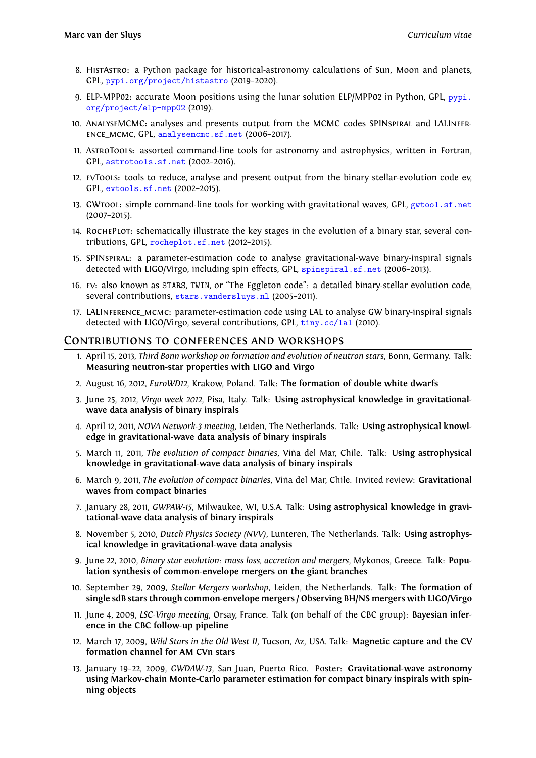- 8. HistAstro**:** a Python package for historical-astronomy calculations of Sun, Moon and planets, GPL, pypi.org/project/histastro (2019–2020).
- 9. ELP-MPP02**:** accurate Moon positions using the lunar solution ELP/MPP02 in Python, GPL, pypi. org/project/elp-mpp02 (2019).
- 10. AnalyseMCMC**:** [analyses and presen](http://pypi.org/project/histastro)ts output from the MCMC codes SPINspiral and LALInference\_mcmc, GPL, analysemcmc.sf.net (2006–2017).
- 11. AstroTools**:** [assorted co](http://pypi.org/project/elp-mpp02)mmand-line tools for astronomy and astrophysics, written inF[ortran,](http://pypi.org/project/elp-mpp02) GPL, astrotools.sf.net (2002–2016).
- 12. evTools**:** tools to [reduce, analyse and p](http://analysemcmc.sf.net)resent output from the binary stellar-evolution code ev, GPL, evtools.sf.net (2002–2015).
- 13. GWtool**:** [simple comman](http://astrotools.sf.net)d-line tools for working with gravitational waves, GPL, gwtool.sf.net (2007–2015).
- 14. RochePlot**:** [schemati](http://evtools.sf.net)cally illustrate the key stages in the evolution of a binary star, several contributions, GPL, rocheplot.sf.net (2012–2015).
- 15. SPINspiral**:** a parameter-estimation code to analyse gravitational-wave binary[-inspiral signals](http://gwtool.sf.net) detected with LIGO/Virgo, including spin effects, GPL, spinspiral.sf.net (2006-2013).
- 16. ev**:** also known as [STARS](http://rocheplot.sf.net), TWIN, or "The Eggleton code": a detailed binary-stellar evolution code, several contributions, stars.vandersluys.nl (2005-2011).
- 17. LALInference\_mcmc**:** parameter-estimation code usi[ng LAL to analyse GW](http://spinspiral.sf.net) binary-inspiral signals detected with LIGO/Virgo, several contributions, GPL, tiny.cc/lal (2010).

#### Contributions to [conferences and](http://stars.vandersluys.nl) workshops

- 1. April 15, 2013, *Third Bonn workshop on formation and evolution of neutron stars*, Bonn, Germany. Talk: **Measuring neutron-star properties with LIGO andV[irgo](http://tiny.cc/lal)**
- 2. August 16, 2012, *EuroWD12*, Krakow, Poland. Talk: **The formation of double white dwarfs**
- 3. June 25, 2012, *Virgo week 2012*, Pisa, Italy. Talk: **Using astrophysical knowledge in gravitationalwave data analysis of binary inspirals**
- 4. April 12, 2011, *NOVA Network-3 meeting*, Leiden, The Netherlands. Talk: **Using astrophysical knowledge in gravitational-wave data analysis of binary inspirals**
- 5. March 11, 2011, *The evolution of compact binaries*, Viña del Mar, Chile. Talk: **Using astrophysical knowledge in gravitational-wave data analysis of binary inspirals**
- 6. March 9, 2011, *The evolution of compact binaries*, Viña del Mar, Chile. Invited review: **Gravitational waves from compact binaries**
- 7. January 28, 2011, *GWPAW-15*, Milwaukee, WI, U.S.A. Talk: **Using astrophysical knowledge in gravitational-wave data analysis of binary inspirals**
- 8. November 5, 2010, *Dutch Physics Society (NVV)*, Lunteren, The Netherlands. Talk: **Using astrophysical knowledge in gravitational-wave data analysis**
- 9. June 22, 2010, *Binary star evolution: mass loss, accretion and mergers*, Mykonos, Greece. Talk: **Population synthesis of common-envelope mergers on the giant branches**
- 10. September 29, 2009, *Stellar Mergers workshop*, Leiden, the Netherlands. Talk: **The formation of single sdB stars through common-envelope mergers / Observing BH/NS mergers with LIGO/Virgo**
- 11. June 4, 2009, *LSC-Virgo meeting*, Orsay, France. Talk (on behalf of the CBC group): **Bayesian inference in the CBC follow-up pipeline**
- 12. March 17, 2009, *Wild Stars in the Old West II*, Tucson, Az, USA. Talk: **Magnetic capture and the CV formation channel for AM CVn stars**
- 13. January 19–22, 2009, *GWDAW-13*, San Juan, Puerto Rico. Poster: **Gravitational-wave astronomy using Markov-chain Monte-Carlo parameter estimation for compact binary inspirals with spinning objects**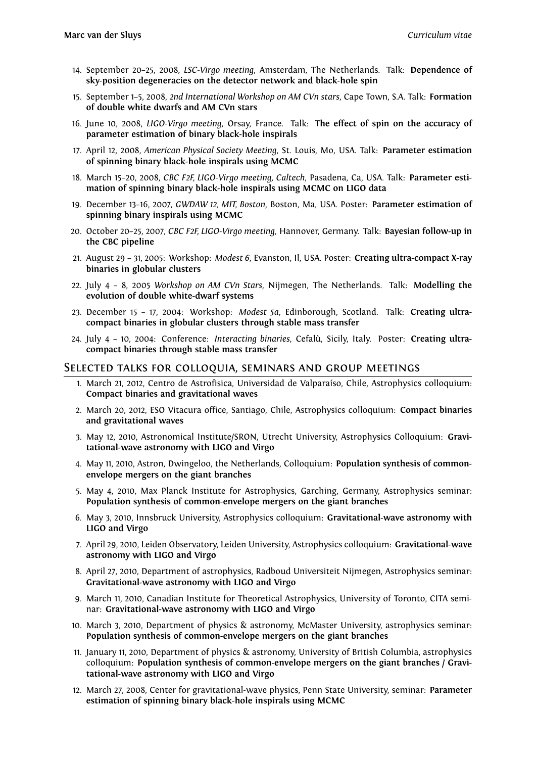- 14. September 20–25, 2008, *LSC-Virgo meeting*, Amsterdam, The Netherlands. Talk: **Dependence of sky-position degeneracies on the detector network and black-hole spin**
- 15. September 1–5, 2008, *2nd International Workshop on AM CVn stars*, Cape Town, S.A. Talk: **Formation of double white dwarfs and AM CVn stars**
- 16. June 10, 2008, *LIGO-Virgo meeting*, Orsay, France. Talk: **The effect of spin on the accuracy of parameter estimation of binary black-hole inspirals**
- 17. April 12, 2008, *American Physical Society Meeting*, St. Louis, Mo, USA. Talk: **Parameter estimation of spinning binary black-hole inspirals using MCMC**
- 18. March 15–20, 2008, *CBC F2F, LIGO-Virgo meeting, Caltech*, Pasadena, Ca, USA. Talk: **Parameter estimation of spinning binary black-hole inspirals using MCMC on LIGO data**
- 19. December 13–16, 2007, *GWDAW 12, MIT, Boston*, Boston, Ma, USA. Poster: **Parameter estimation of spinning binary inspirals using MCMC**
- 20. October 20–25, 2007, *CBC F2F, LIGO-Virgo meeting*, Hannover, Germany. Talk: **Bayesian follow-up in the CBC pipeline**
- 21. August 29 31, 2005: Workshop: *Modest 6*, Evanston, Il, USA. Poster: **Creating ultra-compact X-ray binaries in globular clusters**
- 22. July 4 8, 2005 *Workshop on AM CVn Stars*, Nijmegen, The Netherlands. Talk: **Modelling the evolution of double white-dwarf systems**
- 23. December 15 17, 2004: Workshop: *Modest 5a*, Edinborough, Scotland. Talk: **Creating ultracompact binaries in globular clusters through stable mass transfer**
- 24. July 4 10, 2004: Conference: *Interacting binaries*, Cefalù, Sicily, Italy. Poster: **Creating ultracompact binaries through stable mass transfer**

#### Selected talks for colloquia, seminars and group meetings

- 1. March 21, 2012, Centro de Astrofisica, Universidad de Valparaíso, Chile, Astrophysics colloquium: **Compact binaries and gravitational waves**
- 2. March 20, 2012, ESO Vitacura office, Santiago, Chile, Astrophysics colloquium: **Compact binaries and gravitational waves**
- 3. May 12, 2010, Astronomical Institute/SRON, Utrecht University, Astrophysics Colloquium: **Gravitational-wave astronomy with LIGO and Virgo**
- 4. May 11, 2010, Astron, Dwingeloo, the Netherlands, Colloquium: **Population synthesis of commonenvelope mergers on the giant branches**
- 5. May 4, 2010, Max Planck Institute for Astrophysics, Garching, Germany, Astrophysics seminar: **Population synthesis of common-envelope mergers on the giant branches**
- 6. May 3, 2010, Innsbruck University, Astrophysics colloquium: **Gravitational-wave astronomy with LIGO and Virgo**
- 7. April 29, 2010, Leiden Observatory, Leiden University, Astrophysics colloquium: **Gravitational-wave astronomy with LIGO and Virgo**
- 8. April 27, 2010, Department of astrophysics, Radboud Universiteit Nijmegen, Astrophysics seminar: **Gravitational-wave astronomy with LIGO and Virgo**
- 9. March 11, 2010, Canadian Institute for Theoretical Astrophysics, University of Toronto, CITA seminar: **Gravitational-wave astronomy with LIGO and Virgo**
- 10. March 3, 2010, Department of physics & astronomy, McMaster University, astrophysics seminar: **Population synthesis of common-envelope mergers on the giant branches**
- 11. January 11, 2010, Department of physics & astronomy, University of British Columbia, astrophysics colloquium: **Population synthesis of common-envelope mergers on the giant branches / Gravitational-wave astronomy with LIGO and Virgo**
- 12. March 27, 2008, Center for gravitational-wave physics, Penn State University, seminar: **Parameter estimation of spinning binary black-hole inspirals using MCMC**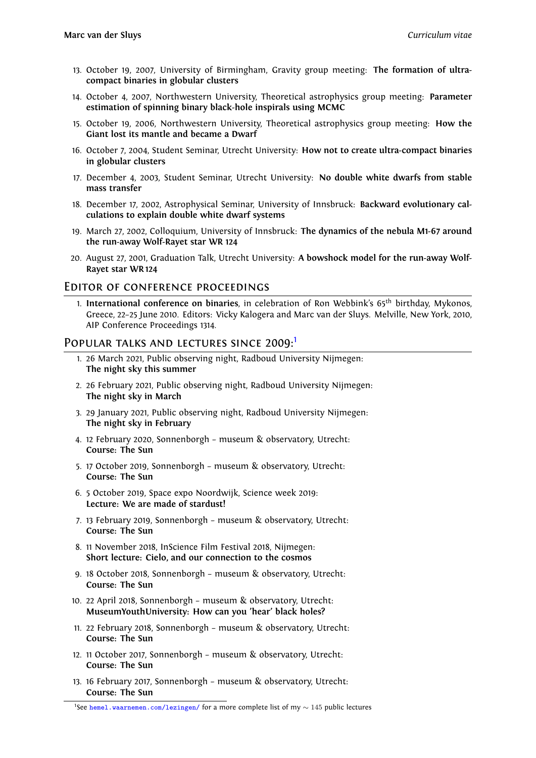- 13. October 19, 2007, University of Birmingham, Gravity group meeting: **The formation of ultracompact binaries in globular clusters**
- 14. October 4, 2007, Northwestern University, Theoretical astrophysics group meeting: **Parameter estimation of spinning binary black-hole inspirals using MCMC**
- 15. October 19, 2006, Northwestern University, Theoretical astrophysics group meeting: **How the Giant lost its mantle and became a Dwarf**
- 16. October 7, 2004, Student Seminar, Utrecht University: **How not to create ultra-compact binaries in globular clusters**
- 17. December 4, 2003, Student Seminar, Utrecht University: **No double white dwarfs from stable mass transfer**
- 18. December 17, 2002, Astrophysical Seminar, University of Innsbruck: **Backward evolutionary calculations to explain double white dwarf systems**
- 19. March 27, 2002, Colloquium, University of Innsbruck: **The dynamics of the nebula M1-67 around the run-away Wolf-Rayet star WR 124**
- 20. August 27, 2001, Graduation Talk, Utrecht University: **A bowshock model for the run-away Wolf-Rayet star WR 124**

#### Editor of conference proceedings

1. **International conference on binaries**, in celebration of Ron Webbink's 65th birthday, Mykonos, Greece, 22–25 June 2010. Editors: Vicky Kalogera and Marc van der Sluys. Melville, New York, 2010, AIP Conference Proceedings 1314.

#### POPULAR TALKS AND LECTURES SINCE 2009:<sup>1</sup>

- 1. 26 March 2021, Public observing night, Radboud University Nijmegen: **The night sky this summer**
- 2. 26 February 2021, Public observing night, Radboud [Un](#page-11-0)iversity Nijmegen: **The night sky in March**
- 3. 29 January 2021, Public observing night, Radboud University Nijmegen: **The night sky in February**
- 4. 12 February 2020, Sonnenborgh museum & observatory, Utrecht: **Course: The Sun**
- 5. 17 October 2019, Sonnenborgh museum & observatory, Utrecht: **Course: The Sun**
- 6. 5 October 2019, Space expo Noordwijk, Science week 2019: **Lecture: We are made of stardust!**
- 7. 13 February 2019, Sonnenborgh museum & observatory, Utrecht: **Course: The Sun**
- 8. 11 November 2018, InScience Film Festival 2018, Nijmegen: **Short lecture: Cielo, and our connection to the cosmos**
- 9. 18 October 2018, Sonnenborgh museum & observatory, Utrecht: **Course: The Sun**
- 10. 22 April 2018, Sonnenborgh museum & observatory, Utrecht: **MuseumYouthUniversity: How can you 'hear' black holes?**
- 11. 22 February 2018, Sonnenborgh museum & observatory, Utrecht: **Course: The Sun**
- 12. 11 October 2017, Sonnenborgh museum & observatory, Utrecht: **Course: The Sun**
- 13. 16 February 2017, Sonnenborgh museum & observatory, Utrecht: **Course: The Sun**

<span id="page-11-0"></span><sup>1</sup>See hemel.waarnemen.com/lezingen/ for a more complete list of my *<sup>∼</sup>* <sup>145</sup> public lectures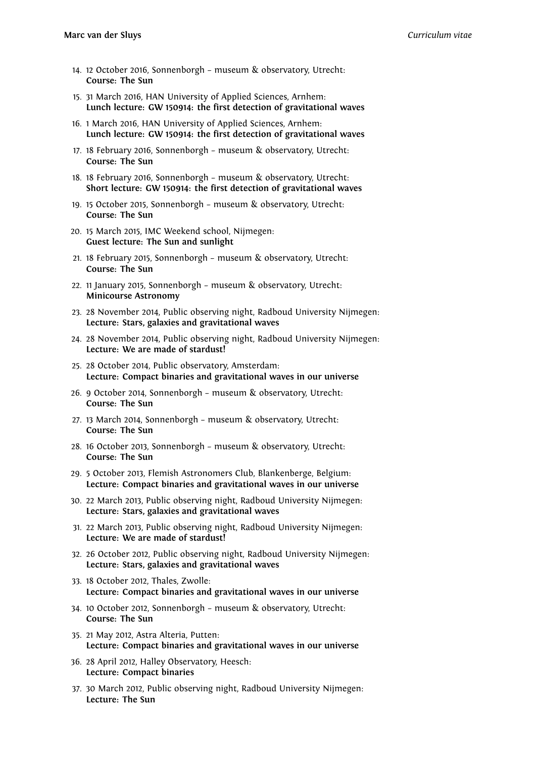- 14. 12 October 2016, Sonnenborgh museum & observatory, Utrecht: **Course: The Sun**
- 15. 31 March 2016, HAN University of Applied Sciences, Arnhem: **Lunch lecture: GW 150914: the first detection of gravitational waves**
- 16. 1 March 2016, HAN University of Applied Sciences, Arnhem: **Lunch lecture: GW 150914: the first detection of gravitational waves**
- 17. 18 February 2016, Sonnenborgh museum & observatory, Utrecht: **Course: The Sun**
- 18. 18 February 2016, Sonnenborgh museum & observatory, Utrecht: **Short lecture: GW 150914: the first detection of gravitational waves**
- 19. 15 October 2015, Sonnenborgh museum & observatory, Utrecht: **Course: The Sun**
- 20. 15 March 2015, IMC Weekend school, Nijmegen: **Guest lecture: The Sun and sunlight**
- 21. 18 February 2015, Sonnenborgh museum & observatory, Utrecht: **Course: The Sun**
- 22. 11 January 2015, Sonnenborgh museum & observatory, Utrecht: **Minicourse Astronomy**
- 23. 28 November 2014, Public observing night, Radboud University Nijmegen: **Lecture: Stars, galaxies and gravitational waves**
- 24. 28 November 2014, Public observing night, Radboud University Nijmegen: **Lecture: We are made of stardust!**
- 25. 28 October 2014, Public observatory, Amsterdam: **Lecture: Compact binaries and gravitational waves in our universe**
- 26. 9 October 2014, Sonnenborgh museum & observatory, Utrecht: **Course: The Sun**
- 27. 13 March 2014, Sonnenborgh museum & observatory, Utrecht: **Course: The Sun**
- 28. 16 October 2013, Sonnenborgh museum & observatory, Utrecht: **Course: The Sun**
- 29. 5 October 2013, Flemish Astronomers Club, Blankenberge, Belgium: **Lecture: Compact binaries and gravitational waves in our universe**
- 30. 22 March 2013, Public observing night, Radboud University Nijmegen: **Lecture: Stars, galaxies and gravitational waves**
- 31. 22 March 2013, Public observing night, Radboud University Nijmegen: **Lecture: We are made of stardust!**
- 32. 26 October 2012, Public observing night, Radboud University Nijmegen: **Lecture: Stars, galaxies and gravitational waves**
- 33. 18 October 2012, Thales, Zwolle: **Lecture: Compact binaries and gravitational waves in our universe**
- 34. 10 October 2012, Sonnenborgh museum & observatory, Utrecht: **Course: The Sun**
- 35. 21 May 2012, Astra Alteria, Putten: **Lecture: Compact binaries and gravitational waves in our universe**
- 36. 28 April 2012, Halley Observatory, Heesch: **Lecture: Compact binaries**
- 37. 30 March 2012, Public observing night, Radboud University Nijmegen: **Lecture: The Sun**